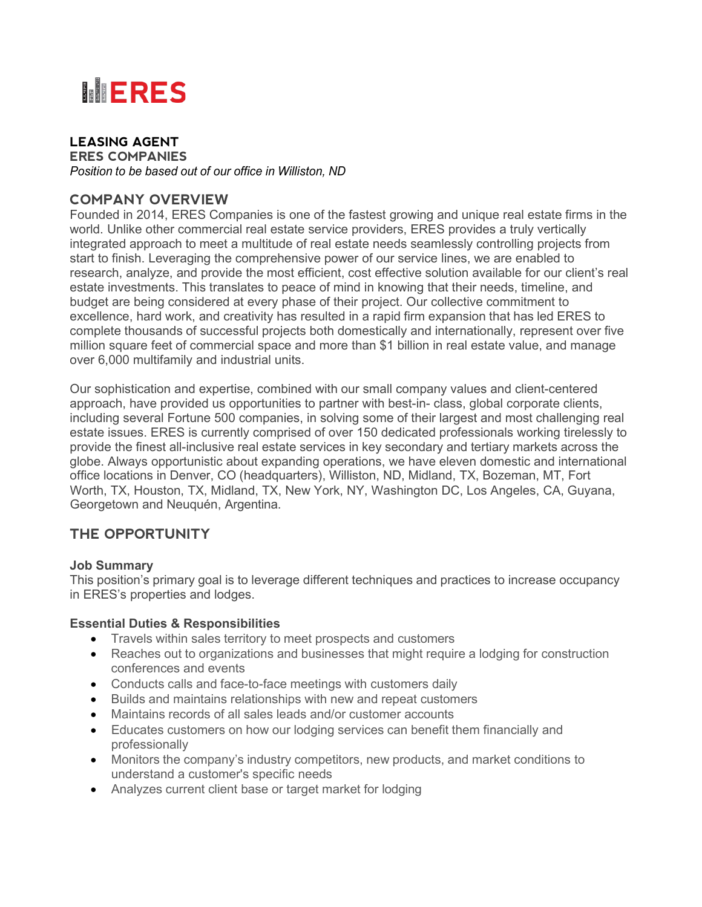

#### **LEASING AGENT ERES COMPANIES**

*Position to be based out of our office in Williston, ND*

### **COMPANY OVERVIEW**

Founded in 2014, ERES Companies is one of the fastest growing and unique real estate firms in the world. Unlike other commercial real estate service providers, ERES provides a truly vertically integrated approach to meet a multitude of real estate needs seamlessly controlling projects from start to finish. Leveraging the comprehensive power of our service lines, we are enabled to research, analyze, and provide the most efficient, cost effective solution available for our client's real estate investments. This translates to peace of mind in knowing that their needs, timeline, and budget are being considered at every phase of their project. Our collective commitment to excellence, hard work, and creativity has resulted in a rapid firm expansion that has led ERES to complete thousands of successful projects both domestically and internationally, represent over five million square feet of commercial space and more than \$1 billion in real estate value, and manage over 6,000 multifamily and industrial units.

Our sophistication and expertise, combined with our small company values and client-centered approach, have provided us opportunities to partner with best-in- class, global corporate clients, including several Fortune 500 companies, in solving some of their largest and most challenging real estate issues. ERES is currently comprised of over 150 dedicated professionals working tirelessly to provide the finest all-inclusive real estate services in key secondary and tertiary markets across the globe. Always opportunistic about expanding operations, we have eleven domestic and international office locations in Denver, CO (headquarters), Williston, ND, Midland, TX, Bozeman, MT, Fort Worth, TX, Houston, TX, Midland, TX, New York, NY, Washington DC, Los Angeles, CA, Guyana, Georgetown and Neuquén, Argentina.

## **THE OPPORTUNITY**

### **Job Summary**

This position's primary goal is to leverage different techniques and practices to increase occupancy in ERES's properties and lodges.

### **Essential Duties & Responsibilities**

- Travels within sales territory to meet prospects and customers
- Reaches out to organizations and businesses that might require a lodging for construction conferences and events
- Conducts calls and face-to-face meetings with customers daily
- Builds and maintains relationships with new and repeat customers
- Maintains records of all sales leads and/or customer accounts
- Educates customers on how our lodging services can benefit them financially and professionally
- Monitors the company's industry competitors, new products, and market conditions to understand a customer's specific needs
- Analyzes current client base or target market for lodging